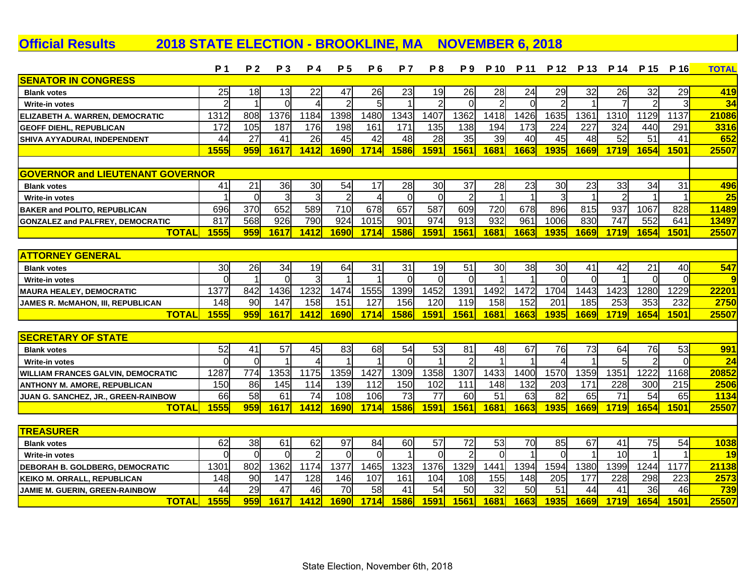**Official Results 2018 STATE ELECTION - BROOKLINE, MA NOVEMBER 6, 2018**

|                                           | P <sub>1</sub> | P <sub>2</sub> | P 3            | P 4            | P 5            | P 6            | <b>P7</b>   | P 8             | P 9            | P 10           | P 11     |                 | P 12 P 13 | P 14           | P 15          | P 16                    | <b>TOTAL</b> |
|-------------------------------------------|----------------|----------------|----------------|----------------|----------------|----------------|-------------|-----------------|----------------|----------------|----------|-----------------|-----------|----------------|---------------|-------------------------|--------------|
| <b>SENATOR IN CONGRESS</b>                |                |                |                |                |                |                |             |                 |                |                |          |                 |           |                |               |                         |              |
| <b>Blank votes</b>                        | 25             | 18             | 13             | 22             | 47             | 26             | 23          | 19              | 26             | 28             | 24       | 29              | 32        | 26             | 32            | 29                      | 419          |
| Write-in votes                            | 2              |                | $\Omega$       |                | $\overline{2}$ | 5              |             | $\overline{2}$  | $\Omega$       | $\overline{2}$ | $\Omega$ |                 |           | 7              | $\mathcal{P}$ | 3                       | 34           |
| ELIZABETH A. WARREN, DEMOCRATIC           | 1312           | 808            | 1376           | 1184           | 1398           | 1480           | 1343        | 1407            | 1362           | 1418           | 1426     | 1635            | 1361      | 1310           | 1129          | 1137                    | 21086        |
| <b>GEOFF DIEHL, REPUBLICAN</b>            | 172            | 105            | 187            | 176            | 198            | 161            | 171         | 135             | 138            | 194            | 173      | 224             | 227       | 324            | 440           | 291                     | 3316         |
| SHIVA AYYADURAI, INDEPENDENT              | 44             | 27             | 41             | 26             | 45             | 42             | 48          | 28              | 35             | 39             | 40       | 45              | 48        | 52             | 51            | 41                      | 652          |
|                                           | 1555           | 959            | 1617           | 1412           | <b>1690</b>    | 1714           | 1586        | <b>1591</b>     | 1561           | 1681           | 1663     | 1935            | 1669      | <b>1719</b>    | 1654          | 1501                    | 25507        |
|                                           |                |                |                |                |                |                |             |                 |                |                |          |                 |           |                |               |                         |              |
| <b>GOVERNOR and LIEUTENANT GOVERNOR</b>   |                |                |                |                |                |                |             |                 |                |                |          |                 |           |                |               |                         |              |
| <b>Blank votes</b>                        | 41             | 21             | 36             | 30             | 54             | 17             | 28          | 30              | 37             | 28             | 23       | 30              | 23        | 33             | 34            | 31                      | 496          |
| <b>Write-in votes</b>                     |                | $\Omega$       | 3              | 3              | $\overline{2}$ | $\overline{4}$ | $\Omega$    | $\overline{0}$  | $\overline{2}$ | 1              |          | $\overline{3}$  |           | $\overline{2}$ |               |                         | 25           |
| <b>BAKER and POLITO, REPUBLICAN</b>       | 696            | 370            | 652            | 589            | 710            | 678            | 657         | 587             | 609            | 720            | 678      | 896             | 815       | 937            | 1067          | 828                     | 11489        |
| <b>GONZALEZ and PALFREY, DEMOCRATIC</b>   | 817            | 568            | 926            | 790            | 924            | 1015           | 901         | 974             | 913            | 932            | 961      | 1006            | 830       | 747            | 552           | 641                     | 13497        |
| <b>TOTAL</b>                              | 1555           | 959            | 1617           | 1412           | <b>1690</b>    | 1714           | <b>1586</b> | 1591            | 1561           | 1681           | 1663     | 1935            | 1669      | 1719           | 1654          | 1501                    | 25507        |
|                                           |                |                |                |                |                |                |             |                 |                |                |          |                 |           |                |               |                         |              |
| <b>ATTORNEY GENERAL</b>                   |                |                |                |                |                |                |             |                 |                |                |          |                 |           |                |               |                         |              |
| <b>Blank votes</b>                        | 30             | 26             | 34             | 19             | 64             | 31             | 31          | 19              | 51             | 30             | 38       | 30 <sub>l</sub> | 41        | 42             | 21            | 40                      | 547          |
| Write-in votes                            | $\Omega$       |                | $\Omega$       | 3              | 1              |                | $\Omega$    | $\Omega$        | $\Omega$       |                |          | $\Omega$        | $\Omega$  |                | $\Omega$      | $\Omega$                | 9            |
| <b>MAURA HEALEY, DEMOCRATIC</b>           | 1377           | 842            | 1436           | 1232           | 1474           | 1555           | 1399        | 1452            | 1391           | 1492           | 1472     | 1704            | 1443      | 1423           | 1280          | 1229                    | 22201        |
| JAMES R. McMAHON, III, REPUBLICAN         | 148            | 90             | 147            | 158            | 151            | 127            | 156         | 120             | 119            | 158            | 152      | 201             | 185       | 253            | 353           | 232                     | 2750         |
| <b>TOTAL</b>                              | 1555           | 959            | 1617           | 1412           | <b>1690</b>    | 1714           | 1586        | 1591            | 1561           | 1681           | 1663     | 1935            | 1669      | 1719           | 1654          | 1501                    | 25507        |
|                                           |                |                |                |                |                |                |             |                 |                |                |          |                 |           |                |               |                         |              |
| <b>SECRETARY OF STATE</b>                 |                |                |                |                |                |                |             |                 |                |                |          |                 |           |                |               |                         |              |
| <b>Blank votes</b>                        | 52             | 41             | 57             | 45             | 83             | 68             | 54          | 53              | 81             | 48             | 67       | 76              | 73        | 64             | 76            | 53                      | 991          |
| <b>Write-in votes</b>                     | $\Omega$       | $\Omega$       |                | $\Delta$       | $\overline{1}$ |                | $\Omega$    |                 | $\overline{2}$ | 1              |          | 4               |           | $\overline{5}$ | 2             | $\Omega$                | 24           |
| <b>WILLIAM FRANCES GALVIN, DEMOCRATIC</b> | 1287           | 774            | 1353           | 1175           | 1359           | 1427           | 1309        | 1358            | 1307           | 1433           | 1400     | 1570            | 1359      | 1351           | 1222          | 1168                    | 20852        |
| <b>ANTHONY M. AMORE, REPUBLICAN</b>       | 150            | 86             | 145            | 114            | 139            | 112            | 150         | 102             | 111            | 148            | 132      | 203             | 171       | 228            | 300           | 215                     | 2506         |
| JUAN G. SANCHEZ, JR., GREEN-RAINBOW       | 66             | 58             | 61             | 74             | 108            | 106            | 73          | $\overline{77}$ | 60             | 51             | 63       | 82              | 65        | 71             | 54            | 65                      | 1134         |
| <b>TOTAL</b>                              | 1555           | 959            | 1617           | 1412           | <b>1690</b>    | 1714           | 1586        | 1591            | 1561           | 1681           | 1663     | 1935            | 1669      | 1719           | 1654          | 1501                    | 25507        |
|                                           |                |                |                |                |                |                |             |                 |                |                |          |                 |           |                |               |                         |              |
| <b>TREASURER</b>                          |                |                |                |                |                |                |             |                 |                |                |          |                 |           |                |               |                         |              |
| <b>Blank votes</b>                        | 62             | 38             | 61             | 62             | 97             | 84             | 60          | 57              | 72             | 53             | 70       | 85              | 67        | 41             | 75            | 54                      | 1038         |
| Write-in votes                            | $\Omega$       | $\Omega$       | $\overline{0}$ | $\overline{2}$ | $\Omega$       | $\Omega$       |             | $\Omega$        | $\overline{2}$ | $\Omega$       |          | $\Omega$        |           | 10             |               | $\overline{\mathbf{1}}$ | 19           |
| <b>DEBORAH B. GOLDBERG, DEMOCRATIC</b>    | 1301           | 802            | 1362           | 1174           | 1377           | 1465           | 1323        | 1376            | 1329           | 1441           | 1394     | 1594            | 1380      | 1399           | 1244          | 1177                    | 21138        |
| <b>KEIKO M. ORRALL, REPUBLICAN</b>        | 148            | 90             | 147            | 128            | 146            | 107            | 161         | 104             | 108            | 155            | 148      | 205             | 177       | 228            | 298           | 223                     | 2573         |
| <b>JAMIE M. GUERIN, GREEN-RAINBOW</b>     | 44             | 29             | 47             | 46             | 70             | 58             | 41          | 54              | 50             | 32             | 50       | 51              | 44        | 41             | 36            | 46                      | 739          |
| <b>TOTAL</b>                              | 1555           | 959            | 1617           | 1412           | <b>1690</b>    | 1714           | 1586        | <b>1591</b>     | 1561           | 1681           | 1663     | 1935            | 1669      | 1719           | 1654          | 1501                    | 25507        |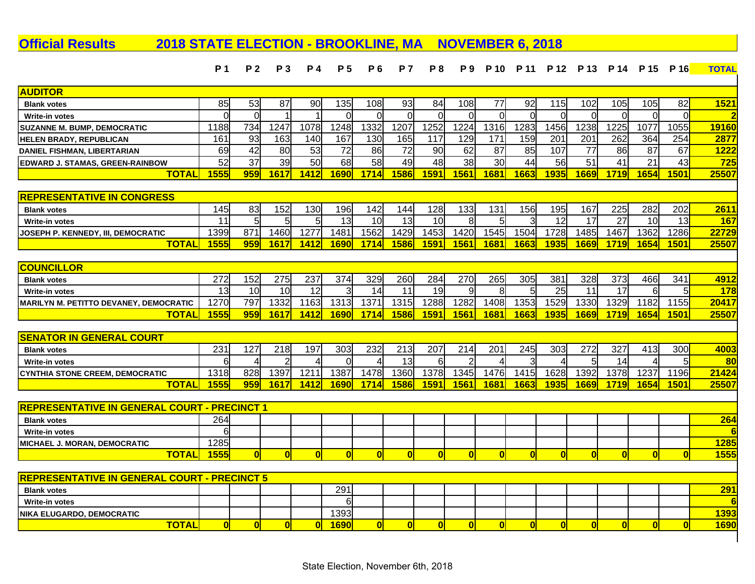## **P 1 P 2 P 3 P 4 P 5 P 6 P 7 P 8 P 9 P 10 P 11 P 12 P 13 P 14 P 15 P 16 TOTAL Official Results 2018 STATE ELECTION - BROOKLINE, MA NOVEMBER 6, 2018 AUDITOR Blank votes** 85 53 87 90 135 108 93 84 108 77 92 115 102 105 105 82 **1521 Write-in votes** 0 0 1 1 0 0 0 0 0 0 0 0 0 0 0 0 **2 SUZANNE M. BUMP, DEMOCRATIC** 1188 734 1247 1078 1248 1332 1207 1252 1224 1316 1283 1456 1238 1225 1077 1055 **19160 HELEN BRADY, REPUBLICAN** 161 93 163 140 167 130 165 117 129 171 159 201 201 262 364 254 **2877 DANIEL FISHMAN, LIBERTARIAN** 69 42 80 53 72 86 72 90 62 87 85 107 77 86 87 67 **1222 EDWARD J. STAMAS, GREEN-RAINBOW** 52 37 39 50 68 58 49 48 38 30 44 56 51 41 21 43 **725 TOTAL 1555 959 1617 1412 1690 1714 1586 1591 1561 1681 1663 1935 1669 1719 1654 1501 25507 REPRESENTATIVE IN CONGRESS Blank votes** 145 83 152 130 196 142 144 128 133 131 156 195 167 225 282 202 **2611 Write-in votes** 11 5 5 5 13 10 13 10 8 5 3 12 17 27 10 13 **167 JOSEPH P. KENNEDY, III, DEMOCRATIC** 1399 871 1460 1277 1481 1562 1429 1453 1420 1545 1504 1728 1485 1467 1362 1286 **22729 TOTAL 1555 959 1617 1412 1690 1714 1586 1591 1561 1681 1663 1935 1669 1719 1654 1501 25507 COUNCILLOR Blank votes** 272 152 275 237 374 329 260 284 270 265 305 381 328 373 466 341 **4912 Write-in votes** 13 10 10 12 3 14 11 19 9 8 5 25 11 17 6 5 **178 MARILYN M. PETITTO DEVANEY, DEMOCRATIC** 1270 797 1332 1163 1313 1371 1315 1288 1282 1408 1353 1529 1330 1329 1182 1155 **20417 TOTAL 1555 959 1617 1412 1690 1714 1586 1591 1561 1681 1663 1935 1669 1719 1654 1501 25507 SENATOR IN GENERAL COURT Blank votes** 231 127 218 197 303 232 213 207 214 201 245 303 272 327 413 300 **4003 Write-in votes** 6 4 2 4 0 4 13 6 2 4 3 4 5 14 4 5 **80 CYNTHIA STONE CREEM, DEMOCRATIC** 1318 828 1397 1211 1387 1478 1360 1378 1345 1476 1415 1628 1392 1378 1237 1196 **21424 TOTAL 1555 959 1617 1412 1690 1714 1586 1591 1561 1681 1663 1935 1669 1719 1654 1501 25507 REPRESENTATIVE IN GENERAL COURT - PRECINCT 1 Blank votes** 264 **264 Write-in votes** 6 **6 MICHAEL J. MORAN, DEMOCRATIC** 1285 **1285 TOTAL 1555 0 0 0 0 0 0 0 0 0 0 0 0 0 0 0 1555 REPRESENTATIVE IN GENERAL COURT - PRECINCT 5 Blank votes** 291 **291 Write-in votes** 6 **6 NIKA ELUGARDO, DEMOCRATIC** 1393 **1393 TOTAL 0 0 0 0 1690 0 0 0 0 0 0 0 0 0 0 0 1690**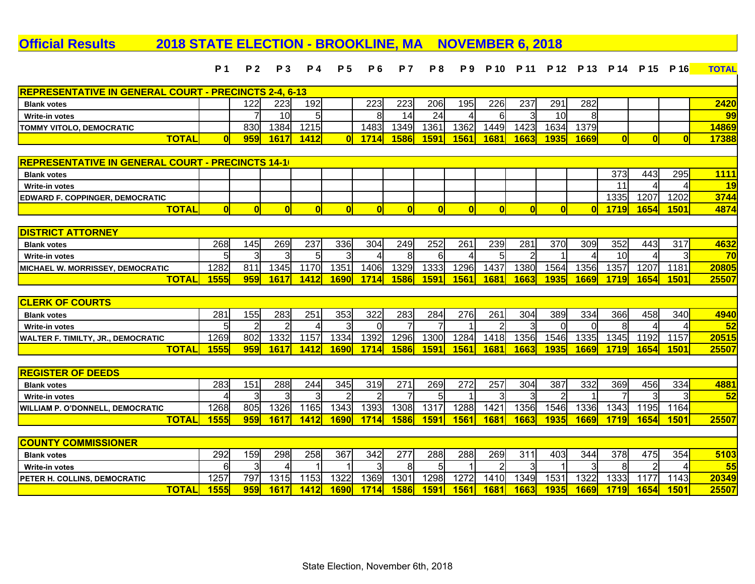## **Official Results 2018 STATE ELECTION - BROOKLINE, MA NOVEMBER 6, 2018**

|                                                              | <b>P</b> 1   | <b>P2</b>      | <b>P</b> 3            | <b>P4</b>      | <b>P5</b>      | P 6      | <b>P</b> 7   | P8              | P9          | P 10           | P 11           | P 12           | P 13           | P 14           | P 15           | P 16           | <b>TOTAL</b> |
|--------------------------------------------------------------|--------------|----------------|-----------------------|----------------|----------------|----------|--------------|-----------------|-------------|----------------|----------------|----------------|----------------|----------------|----------------|----------------|--------------|
| <b>REPRESENTATIVE IN GENERAL COURT - PRECINCTS 2-4, 6-13</b> |              |                |                       |                |                |          |              |                 |             |                |                |                |                |                |                |                |              |
| <b>Blank votes</b>                                           |              | 122            | 223                   | 192            |                | 223      | 223          | 206             | 195         | 226            | 237            | 291            | 282            |                |                |                | 2420         |
| Write-in votes                                               |              |                | 10                    | 5 <sub>5</sub> |                | 8        | 14           | 24              | 4           | 6              | 3              | 10             | 8              |                |                |                | 99           |
| <b>TOMMY VITOLO, DEMOCRATIC</b>                              |              | 830            | 1384                  | 1215           |                | 1483     | 1349         | 1361            | 1362        | 1449           | 1423           | 1634           | 1379           |                |                |                | 14869        |
| <b>TOTAL</b>                                                 | n            | 959            | 1617                  | 1412           | $\mathbf{0}$   | 1714     | 1586         | 1591            | 1561        | 1681           | 1663           | 1935           | 1669           | $\mathbf{0}$   | $\mathbf{0}$   | $\overline{0}$ | 17388        |
|                                                              |              |                |                       |                |                |          |              |                 |             |                |                |                |                |                |                |                |              |
| REPRESENTATIVE IN GENERAL COURT - PRECINCTS 14-1             |              |                |                       |                |                |          |              |                 |             |                |                |                |                |                |                |                |              |
| <b>Blank votes</b>                                           |              |                |                       |                |                |          |              |                 |             |                |                |                |                | 373            | 443            | 295            | <b>1111</b>  |
| Write-in votes                                               |              |                |                       |                |                |          |              |                 |             |                |                |                |                | 11             |                | 4              | 19           |
| <b>EDWARD F. COPPINGER, DEMOCRATIC</b>                       |              |                |                       |                |                |          |              |                 |             |                |                |                |                | 1335           | 1207           | 1202           | 3744         |
| <b>TOTAL</b>                                                 | $\mathbf{0}$ | 0              | 0                     | $\overline{0}$ | 0              | $\bf{0}$ | $\mathbf{0}$ | OI              | 0           | $\overline{0}$ | $\mathbf{0}$   | $\mathbf{0}$   | $\overline{0}$ | <b>1719</b>    | 1654           | 1501           | 4874         |
|                                                              |              |                |                       |                |                |          |              |                 |             |                |                |                |                |                |                |                |              |
| <b>DISTRICT ATTORNEY</b>                                     |              |                |                       |                |                |          |              |                 |             |                |                |                |                |                |                |                |              |
| <b>Blank votes</b>                                           | 268          | 145            | 269                   | 237            | 336            | 304      | 249          | 252             | 261         | 239            | 281            | 370            | 309            | 352            | 443            | 317            | 4632         |
| <b>Write-in votes</b>                                        | F            | 3              | 3                     | 5 <sup>1</sup> | $\overline{3}$ |          | 8            | 6               | 4           | 5              | $\overline{2}$ |                |                | 10             |                | $\mathbf{3}$   | 70           |
| MICHAEL W. MORRISSEY, DEMOCRATIC                             | 1282         | 811            | 1345                  | 1170           | 1351           | 1406     | 1329         | 1333            | 1296        | 1437           | 1380           | 1564           | 1356           | 1357           | 1207           | 1181           | 20805        |
| <b>TOTAL</b>                                                 | <b>1555</b>  | 959            | 1617                  | 1412           | <b>1690</b>    | 1714     | 1586         | <b>1591</b>     | 1561        | 1681           | 1663           | 1935           | 1669           | <b>1719</b>    | 1654           | 1501           | 25507        |
|                                                              |              |                |                       |                |                |          |              |                 |             |                |                |                |                |                |                |                |              |
| <b>CLERK OF COURTS</b>                                       |              |                |                       |                |                |          |              |                 |             |                |                |                |                |                |                |                |              |
| <b>Blank votes</b>                                           | 281          | 155            | 283                   | 251            | 353            | 322      | 283          | 284             | 276         | 261            | 304            | 389            | 334            | 366            | 458            | 340            | 4940         |
| <b>Write-in votes</b>                                        | 5            | $\overline{2}$ | 2                     | $\overline{4}$ | $\overline{3}$ | $\Omega$ |              |                 |             |                | 3              | $\Omega$       |                | 8              |                | $\overline{4}$ | 52           |
| WALTER F. TIMILTY, JR., DEMOCRATIC                           | 1269         | 802            | 1332                  | 1157           | 1334           | 1392     | 1296         | 1300            | 1284        | 1418           | 1356           | 1546           | 1335           | 1345           | 1192           | 1157           | 20515        |
| <b>TOTAL</b>                                                 | 1555         | 959            | 1617                  | 1412           | <b>1690</b>    | 1714     | 1586         | <b>1591</b>     | 1561        | 1681           | 1663           | 1935           | <b>1669</b>    | <b>1719</b>    | 1654           | <b>1501</b>    | 25507        |
| <b>REGISTER OF DEEDS</b>                                     |              |                |                       |                |                |          |              |                 |             |                |                |                |                |                |                |                |              |
| <b>Blank votes</b>                                           | 283          | 151            | 288                   | 244            | 345            | 319      | 271          | 269             | 272         | 257            | 304            | 387            | 332            | 369            | 456            | 334            | 4881         |
| <b>Write-in votes</b>                                        | ⊿            | $\overline{3}$ | 3                     | $\mathbf{3}$   | $\overline{2}$ | 2        |              | $5 \frac{1}{2}$ |             |                | 3              | $\overline{2}$ |                | $\overline{7}$ | 3              | $\mathbf{3}$   | 52           |
| <b>WILLIAM P. O'DONNELL, DEMOCRATIC</b>                      | 1268         | 805            | 1326                  | 1165           | 1343           | 1393     | 1308         | 1317            | 1288        | 1421           | 1356           | 1546           | 1336           | 1343           | 1195           | 1164           |              |
| <b>TOTAL</b>                                                 | 1555         | 959            | 1617                  | 1412           | 1690           | 1714     | 1586         | 1591            | 1561        | 1681           | 1663           | 1935           | 1669           | <b>1719</b>    | 1654           | <b>1501</b>    | 25507        |
|                                                              |              |                |                       |                |                |          |              |                 |             |                |                |                |                |                |                |                |              |
| <b>COUNTY COMMISSIONER</b>                                   |              |                |                       |                |                |          |              |                 |             |                |                |                |                |                |                |                |              |
| <b>Blank votes</b>                                           | 292          | 159            | 298                   | 258            | 367            | 342      | 277          | 288             | 288         | 269            | 311            | 403            | 344            | 378            | 475            | 354            | 5103         |
| Write-in votes                                               | 6            | $\overline{3}$ | $\boldsymbol{\Delta}$ |                | -1             | 3        | 8            | 5               | $\mathbf 1$ | 2              | 3              | -1             | 3              | 8              | $\overline{2}$ | $\vert$        | 55           |
| PETER H. COLLINS, DEMOCRATIC                                 | 1257         | 797            | 1315                  | 1153           | 1322           | 1369     | 1301         | 1298            | 1272        | 1410           | 1349           | 1531           | 1322           | 1333           | 1177           | 1143           | 20349        |
| <b>TOTAL</b>                                                 | 1555         | 959            | 1617                  | 1412           | 1690           | 1714     | 1586         | 1591            | 1561        | 1681           | 1663           | 1935           | 1669           | 1719           | 1654           | 1501           | 25507        |